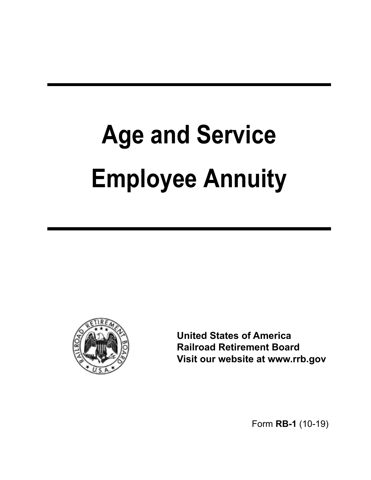# **Age and Service Employee Annuity**



**United States of America Railroad Retirement Board Visit our website at<www.rrb.gov>** 

Form **RB-1** (10-19)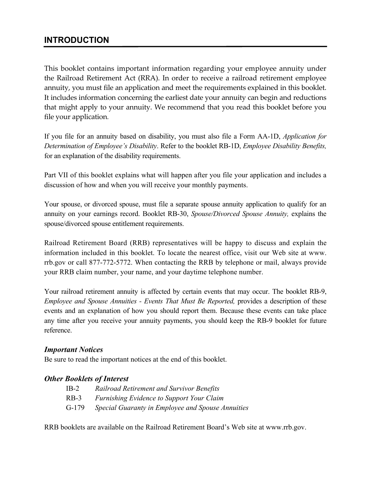## **INTRODUCTION**

This booklet contains important information regarding your employee annuity under the Railroad Retirement Act (RRA). In order to receive a railroad retirement employee annuity, you must file an application and meet the requirements explained in this booklet. It includes information concerning the earliest date your annuity can begin and reductions that might apply to your annuity. We recommend that you read this booklet before you file your application.

If you file for an annuity based on disability, you must also file a Form AA-1D, *Application for Determination of Employee's Disability*. Refer to the booklet RB-1D, *Employee Disability Benefits,*  for an explanation of the disability requirements.

Part VII of this booklet explains what will happen after you file your application and includes a discussion of how and when you will receive your monthly payments.

Your spouse, or divorced spouse, must file a separate spouse annuity application to qualify for an annuity on your earnings record. Booklet RB-30, *Spouse/Divorced Spouse Annuity,* explains the spouse/divorced spouse entitlement requirements.

Railroad Retirement Board (RRB) representatives will be happy to discuss and explain the information included in this booklet. To locate the nearest office, visit our Web site at www. rrb.gov or call 877-772-5772. When contacting the RRB by telephone or mail, always provide your RRB claim number, your name, and your daytime telephone number.

 events and an explanation of how you should report them. Because these events can take place Your railroad retirement annuity is affected by certain events that may occur. The booklet RB-9, *Employee and Spouse Annuities - Events That Must Be Reported, provides a description of these* any time after you receive your annuity payments, you should keep the RB-9 booklet for future reference.

#### *Important Notices*

Be sure to read the important notices at the end of this booklet.

#### *Other Booklets of Interest*

| IB-2  | Railroad Retirement and Survivor Benefits         |
|-------|---------------------------------------------------|
| RB-3  | Furnishing Evidence to Support Your Claim         |
| G-179 | Special Guaranty in Employee and Spouse Annuities |

RRB booklets are available on the Railroad Retirement Board's Web site at [www.rrb.gov.](www.rrb.gov)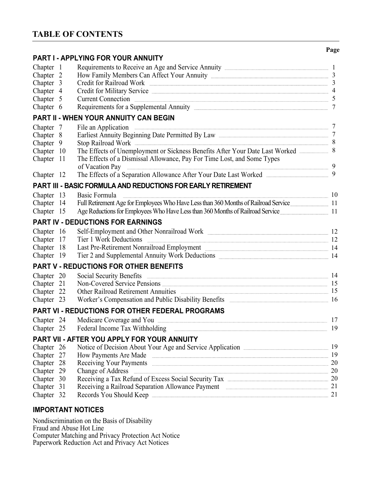## **TABLE OF CONTENTS**

|                      |     |                                                                                                                                                                                                                                                                                                                     | Page            |
|----------------------|-----|---------------------------------------------------------------------------------------------------------------------------------------------------------------------------------------------------------------------------------------------------------------------------------------------------------------------|-----------------|
|                      |     | PART I - APPLYING FOR YOUR ANNUITY                                                                                                                                                                                                                                                                                  |                 |
| Chapter              | - 1 |                                                                                                                                                                                                                                                                                                                     |                 |
| Chapter <sub>2</sub> |     |                                                                                                                                                                                                                                                                                                                     |                 |
| Chapter 3            |     | Credit for Railroad Work 3                                                                                                                                                                                                                                                                                          |                 |
| Chapter 4            |     | Credit for Military Service 4                                                                                                                                                                                                                                                                                       |                 |
| Chapter 5            |     | <b>Current Connection</b>                                                                                                                                                                                                                                                                                           |                 |
| Chapter 6            |     |                                                                                                                                                                                                                                                                                                                     | $7\phantom{.0}$ |
|                      |     | <b>PART II - WHEN YOUR ANNUITY CAN BEGIN</b>                                                                                                                                                                                                                                                                        |                 |
| Chapter 7            |     |                                                                                                                                                                                                                                                                                                                     |                 |
| Chapter 8            |     |                                                                                                                                                                                                                                                                                                                     |                 |
| Chapter 9            |     | Stop Railroad Work 38                                                                                                                                                                                                                                                                                               |                 |
| Chapter 10           |     | The Effects of Unemployment or Sickness Benefits After Your Date Last Worked                                                                                                                                                                                                                                        | 8               |
| Chapter 11           |     | The Effects of a Dismissal Allowance, Pay For Time Lost, and Some Types                                                                                                                                                                                                                                             |                 |
|                      |     | of Vacation Pay                                                                                                                                                                                                                                                                                                     |                 |
| Chapter 12           |     | The Effects of a Separation Allowance After Your Date Last Worked _______________                                                                                                                                                                                                                                   | 9               |
|                      |     | PART III - BASIC FORMULA AND REDUCTIONS FOR EARLY RETIREMENT                                                                                                                                                                                                                                                        |                 |
|                      |     | Basic Formula                                                                                                                                                                                                                                                                                                       |                 |
| Chapter 13           |     | $\frac{1}{2}$ $\frac{1}{2}$ $\frac{1}{2}$ $\frac{1}{2}$ $\frac{1}{2}$ $\frac{1}{2}$ $\frac{1}{2}$ $\frac{1}{2}$ $\frac{1}{2}$ $\frac{1}{2}$ $\frac{1}{2}$ $\frac{1}{2}$ $\frac{1}{2}$ $\frac{1}{2}$ $\frac{1}{2}$ $\frac{1}{2}$ $\frac{1}{2}$ $\frac{1}{2}$ $\frac{1}{2}$ $\frac{1}{2}$ $\frac{1}{2}$ $\frac{1}{2}$ |                 |
| Chapter 14           |     |                                                                                                                                                                                                                                                                                                                     |                 |
| Chapter 15           |     | Age Reductions for Employees Who Have Less than 360 Months of Railroad Service                                                                                                                                                                                                                                      |                 |
|                      |     | <b>PART IV - DEDUCTIONS FOR EARNINGS</b>                                                                                                                                                                                                                                                                            |                 |
| Chapter 16           |     |                                                                                                                                                                                                                                                                                                                     |                 |
| Chapter              | 17  | Tier 1 Work Deductions                                                                                                                                                                                                                                                                                              |                 |
| Chapter              | 18  | Last Pre-Retirement Nonrailroad Employment 24                                                                                                                                                                                                                                                                       |                 |
| Chapter 19           |     |                                                                                                                                                                                                                                                                                                                     |                 |
|                      |     | <b>PART V - REDUCTIONS FOR OTHER BENEFITS</b>                                                                                                                                                                                                                                                                       |                 |
| Chapter 20           |     | Social Security Benefits 2014 2015 2020 214                                                                                                                                                                                                                                                                         |                 |
| Chapter 21           |     | Non-Covered Service Pensions 15                                                                                                                                                                                                                                                                                     |                 |
| Chapter 22           |     | Other Railroad Retirement Annuities 2008 2014 15                                                                                                                                                                                                                                                                    |                 |
| Chapter 23           |     | Worker's Compensation and Public Disability Benefits <b>Example 2018</b> 16                                                                                                                                                                                                                                         |                 |
|                      |     | PART VI - REDUCTIONS FOR OTHER FEDERAL PROGRAMS                                                                                                                                                                                                                                                                     |                 |
|                      |     |                                                                                                                                                                                                                                                                                                                     | 17              |
| Chapter 25           |     | Federal Income Tax Withholding                                                                                                                                                                                                                                                                                      | 19              |
|                      |     | PART VII - AFTER YOU APPLY FOR YOUR ANNUITY                                                                                                                                                                                                                                                                         |                 |
| Chapter 26           |     |                                                                                                                                                                                                                                                                                                                     |                 |
| Chapter 27           |     | How Payments Are Made 2014 19                                                                                                                                                                                                                                                                                       |                 |
| Chapter 28           |     | Receiving Your Payments 20                                                                                                                                                                                                                                                                                          |                 |
| Chapter 29           |     | Change of Address 20                                                                                                                                                                                                                                                                                                |                 |
| Chapter 30           |     | Receiving a Tax Refund of Excess Social Security Tax <b>Excess Social Security Tax</b> 20                                                                                                                                                                                                                           |                 |
| Chapter 31           |     | Receiving a Railroad Separation Allowance Payment 21                                                                                                                                                                                                                                                                |                 |
| Chapter 32           |     | Records You Should Keep <b>Example 20</b> Should Keep <b>Example 20</b> Should Keep <b>Example 20</b> Should Keep <b>Example 20</b> Should Keep <b>Example 20</b> Should Keep <b>Example 20</b> Should Keep <b>Example 20</b> Should Keep <b>Example 20</b> Should Kee                                              | 21              |
|                      |     |                                                                                                                                                                                                                                                                                                                     |                 |

## **IMPORTANT NOTICES**

Nondiscrimination on the Basis of Disability Fraud and Abuse Hot Line Computer Matching and Privacy Protection Act Notice Paperwork Reduction Act and Privacy Act Notices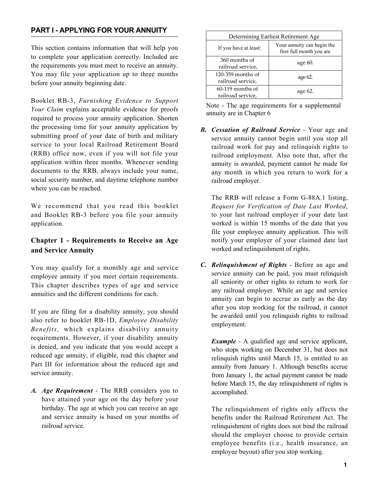### **PART I - APPLYING FOR YOUR ANNUITY**

This section contains information that will help you to complete your application correctly. Included are the requirements you must meet to receive an annuity. You may file your application up to three months before your annuity beginning date.

Booklet RB-3, *Furnishing Evidence to Support Your Claim* explains acceptable evidence for proofs required to process your annuity application. Shorten the processing time for your annuity application by submitting proof of your date of birth and military service to your local Railroad Retirement Board (RRB) office now, even if you will not file your application within three months. Whenever sending documents to the RRB, always include your name, social security number, and daytime telephone number where you can be reached.

We recommend that you read this booklet and Booklet RB-3 before you file your annuity application.

### **Chapter 1 - Requirements to Receive an Age and Service Annuity**

 employee annuity if you meet certain requirements. You may qualify for a monthly age and service This chapter describes types of age and service annuities and the different conditions for each.

 Part III for information about the reduced age and If you are filing for a disability annuity, you should also refer to booklet RB-1D, *Employee Disability Benefits,* which explains disability annuity requirements. However, if your disability annuity is denied, and you indicate that you would accept a reduced age annuity, if eligible, read this chapter and service annuity.

*A. Age Requirement* - The RRB considers you to have attained your age on the day before your birthday. The age at which you can receive an age and service annuity is based on your months of railroad service.

| Determining Earliest Retirement Age      |                                                        |  |  |  |  |
|------------------------------------------|--------------------------------------------------------|--|--|--|--|
| If you have at least:                    | Your annuity can begin the<br>first full month you are |  |  |  |  |
| 360 months of<br>railroad service,       | age 60.                                                |  |  |  |  |
| $120-359$ months of<br>railroad service, | age 62.                                                |  |  |  |  |
| $60-119$ months of<br>railroad service,  | age $62$ .                                             |  |  |  |  |

Note - The age requirements for a supplemental annuity are in Chapter 6

*B. Cessation of Railroad Service* - Your age and service annuity cannot begin until you stop all railroad work for pay and relinquish rights to railroad employment. Also note that, after the annuity is awarded, payment cannot be made for any month in which you return to work for a railroad employer.

 The RRB will release a Form G-88A.1 listing, *Request for Verification of Date Last Worked*, to your last railroad employer if your date last worked is within 15 months of the date that you file your employee annuity application. This will notify your employer of your claimed date last worked and relinquishment of rights.

*C. Relinquishment of Rights* - Before an age and service annuity can be paid, you must relinquish all seniority or other rights to return to work for any railroad employer. While an age and service annuity can begin to accrue as early as the day after you stop working for the railroad, it cannot be awarded until you relinquish rights to railroad employment.

 *Example* - A qualified age and service applicant, who stops working on December 31, but does not relinquish rights until March 15, is entitled to an annuity from January 1. Although benefits accrue from January 1, the actual payment cannot be made before March 15, the day relinquishment of rights is accomplished.

 should the employer choose to provide certain employee benefits (i.e., health insurance, an The relinquishment of rights only affects the benefits under the Railroad Retirement Act. The relinquishment of rights does not bind the railroad employee buyout) after you stop working.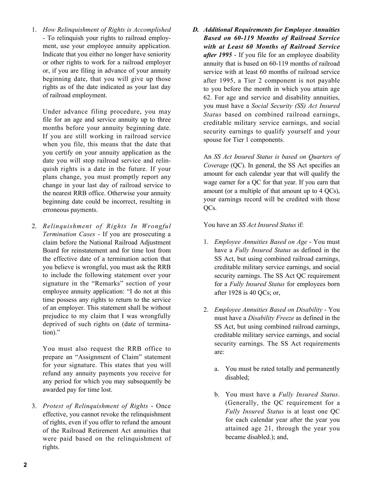1. *How Relinquishment of Rights is Accomplished*  - To relinquish your rights to railroad employment, use your employee annuity application. Indicate that you either no longer have seniority or other rights to work for a railroad employer or, if you are filing in advance of your annuity beginning date, that you will give up those rights as of the date indicated as your last day of railroad employment.

 plans change, you must promptly report any Under advance filing procedure, you may file for an age and service annuity up to three months before your annuity beginning date. If you are still working in railroad service when you file, this means that the date that you certify on your annuity application as the date you will stop railroad service and relinquish rights is a date in the future. If your change in your last day of railroad service to the nearest RRB office. Otherwise your annuity beginning date could be incorrect, resulting in erroneous payments.

 signature in the "Remarks" section of your 2. *Relinquishment of Rights In Wrongful Termination Cases* - If you are prosecuting a claim before the National Railroad Adjustment Board for reinstatement and for time lost from the effective date of a termination action that you believe is wrongful, you must ask the RRB to include the following statement over your employee annuity application: "I do not at this time possess any rights to return to the service of an employer. This statement shall be without prejudice to my claim that I was wrongfully deprived of such rights on (date of termination)."

 You must also request the RRB office to prepare an "Assignment of Claim" statement for your signature. This states that you will refund any annuity payments you receive for any period for which you may subsequently be awarded pay for time lost.

3. *Protest of Relinquishment of Rights* - Once effective, you cannot revoke the relinquishment of rights, even if you offer to refund the amount of the Railroad Retirement Act annuities that were paid based on the relinquishment of rights.

*D. Additional Requirements for Employee Annuities Based on 60-119 Months of Railroad Service with at Least 60 Months of Railroad Service after 1995* - If you file for an employee disability annuity that is based on 60-119 months of railroad service with at least 60 months of railroad service after 1995, a Tier 2 component is not payable to you before the month in which you attain age 62. For age and service and disability annuities, you must have a *Social Security (SS) Act Insured Status* based on combined railroad earnings, creditable military service earnings, and social security earnings to qualify yourself and your spouse for Tier 1 components.

 your earnings record will be credited with those An *SS Act Insured Status is based on Quarters of Coverage* (QC). In general, the SS Act specifies an amount for each calendar year that will qualify the wage earner for a QC for that year. If you earn that amount (or a multiple of that amount up to 4 QCs), OC<sub>s</sub>.

You have an *SS Act Insured Status* if:

- 1. *Employee Annuities Based on Age* You must have a *Fully Insured Status* as defined in the SS Act, but using combined railroad earnings, creditable military service earnings, and social security earnings. The SS Act QC requirement for a *Fully Insured Status* for employees born after 1928 is 40 QCs; or,
- 2. *Employee Annuities Based on Disability* You must have a *Disability Freeze* as defined in the SS Act, but using combined railroad earnings, creditable military service earnings, and social security earnings. The SS Act requirements are:
	- a. You must be rated totally and permanently disabled;
	- (Generally, the QC requirement for a  *Fully Insured Status* is at least one QC for each calendar year after the year you b. You must have a *Fully Insured Status*. attained age 21, through the year you became disabled.); and,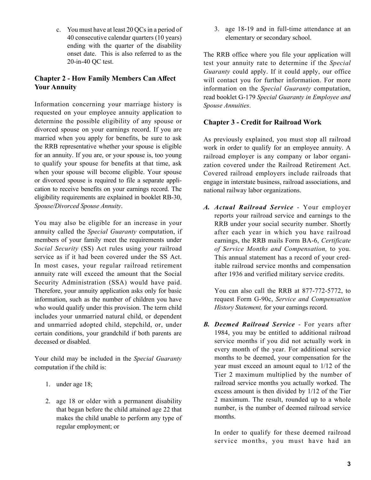c. You must have at least 20 QCs in a period of 40 consecutive calendar quarters (10 years) ending with the quarter of the disability onset date. This is also referred to as the 20-in-40 QC test.

#### **Chapter 2 - How Family Members Can Affect Your Annuity**

Information concerning your marriage history is requested on your employee annuity application to determine the possible eligibility of any spouse or divorced spouse on your earnings record. If you are married when you apply for benefits, be sure to ask the RRB representative whether your spouse is eligible for an annuity. If you are, or your spouse is, too young to qualify your spouse for benefits at that time, ask when your spouse will become eligible. Your spouse or divorced spouse is required to file a separate application to receive benefits on your earnings record. The eligibility requirements are explained in booklet RB-30, *Spouse/Divorced Spouse Annuity*.

You may also be eligible for an increase in your annuity called the *Special Guaranty* computation, if members of your family meet the requirements under *Social Security* (SS) Act rules using your railroad service as if it had been covered under the SS Act. In most cases, your regular railroad retirement annuity rate will exceed the amount that the Social Security Administration (SSA) would have paid. Therefore, your annuity application asks only for basic information, such as the number of children you have who would qualify under this provision. The term child includes your unmarried natural child, or dependent and unmarried adopted child, stepchild, or, under certain conditions, your grandchild if both parents are deceased or disabled.

Your child may be included in the *Special Guaranty*  computation if the child is:

- 1. under age 18;
- 2. age 18 or older with a permanent disability that began before the child attained age 22 that makes the child unable to perform any type of regular employment; or

3. age 18-19 and in full-time attendance at an elementary or secondary school.

The RRB office where you file your application will test your annuity rate to determine if the *Special Guaranty* could apply. If it could apply, our office will contact you for further information. For more information on the *Special Guaranty* computation, read booklet G-179 *Special Guaranty in Employee and Spouse Annuities*.

#### **Chapter 3 - Credit for Railroad Work**

 As previously explained, you must stop all railroad work in order to qualify for an employee annuity. A railroad employer is any company or labor organization covered under the Railroad Retirement Act. Covered railroad employers include railroads that engage in interstate business, railroad associations, and national railway labor organizations.

*A. Actual Railroad Service* - Your employer reports your railroad service and earnings to the RRB under your social security number. Shortly after each year in which you have railroad earnings, the RRB mails Form BA-6, *Certificate of Service Months and Compensation,* to you. This annual statement has a record of your creditable railroad service months and compensation after 1936 and verified military service credits.

You can also call the RRB at 877-772-5772, to request Form G-90c, *Service and Compensation History Statement,* for your earnings record.

 service months if you did not actually work in *B. Deemed Railroad Service* - For years after 1984, you may be entitled to additional railroad every month of the year. For additional service months to be deemed, your compensation for the year must exceed an amount equal to 1/12 of the Tier 2 maximum multiplied by the number of railroad service months you actually worked. The excess amount is then divided by 1/12 of the Tier 2 maximum. The result, rounded up to a whole number, is the number of deemed railroad service months.

In order to qualify for these deemed railroad service months, you must have had an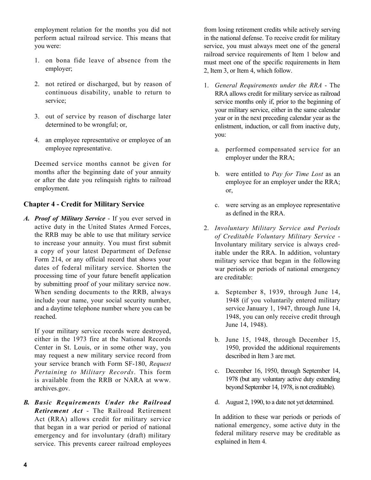employment relation for the months you did not perform actual railroad service. This means that you were:

- 1. on bona fide leave of absence from the employer;
- 2. not retired or discharged, but by reason of continuous disability, unable to return to service;
- 3. out of service by reason of discharge later determined to be wrongful; or,
- 4. an employee representative or employee of an employee representative.

Deemed service months cannot be given for months after the beginning date of your annuity or after the date you relinquish rights to railroad employment.

#### **Chapter 4 - Credit for Military Service**

*A. Proof of Military Service* - If you ever served in active duty in the United States Armed Forces, the RRB may be able to use that military service to increase your annuity. You must first submit a copy of your latest Department of Defense Form 214, or any official record that shows your dates of federal military service. Shorten the processing time of your future benefit application by submitting proof of your military service now. When sending documents to the RRB, always include your name, your social security number, and a daytime telephone number where you can be reached.

 either in the 1973 fire at the National Records Center in St. Louis, or in some other way, you If your military service records were destroyed, may request a new military service record from your service branch with Form SF-180, *Request Pertaining to Military Records*. This form is available from the RRB or NARA at www. [archives.gov.](https://archives.gov)

*B. Basic Requirements Under the Railroad Retirement Act* - The Railroad Retirement Act (RRA) allows credit for military service that began in a war period or period of national emergency and for involuntary (draft) military service. This prevents career railroad employees

2, Item 3, or Item 4, which follow. from losing retirement credits while actively serving in the national defense. To receive credit for military service, you must always meet one of the general railroad service requirements of Item 1 below and must meet one of the specific requirements in Item

- 1. General Requirements under the RRA The RRA allows credit for military service as railroad service months only if, prior to the beginning of your military service, either in the same calendar year or in the next preceding calendar year as the enlistment, induction, or call from inactive duty, you:
	- a. performed compensated service for an employer under the RRA;
	- b. were entitled to *Pay for Time Lost* as an employee for an employer under the RRA; or,
	- c. were serving as an employee representative as defined in the RRA.
- military service that began in the following 2. *Involuntary Military Service and Periods of Creditable Voluntary Military Service* - Involuntary military service is always creditable under the RRA. In addition, voluntary war periods or periods of national emergency are creditable:
	- a. September 8, 1939, through June 14, 1948 (if you voluntarily entered military service January 1, 1947, through June 14, 1948, you can only receive credit through June 14, 1948).
	- b. June 15, 1948, through December 15, 1950, provided the additional requirements described in Item 3 are met.
	- c. December 16, 1950, through September 14, 1978 (but any voluntary active duty extending beyond September 14, 1978, is not creditable).
	- d. August 2, 1990, to a date not yet determined.

In addition to these war periods or periods of national emergency, some active duty in the federal military reserve may be creditable as explained in Item 4.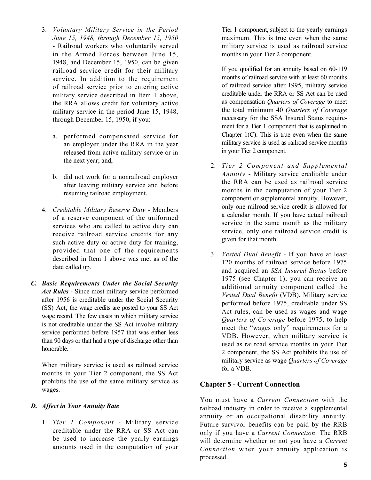- railroad service credit for their military of railroad service prior to entering active military service described in Item 1 above, 3. *Voluntary Military Service in the Period June 15, 1948, through December 15, 1950*  - Railroad workers who voluntarily served in the Armed Forces between June 15, 1948, and December 15, 1950, can be given service. In addition to the requirement the RRA allows credit for voluntary active military service in the period June 15, 1948, through December 15, 1950, if you:
	- a. performed compensated service for an employer under the RRA in the year released from active military service or in the next year; and,
	- b. did not work for a nonrailroad employer after leaving military service and before resuming railroad employment.
- 4. *Creditable Military Reserve Duty* Members of a reserve component of the uniformed services who are called to active duty can receive railroad service credits for any such active duty or active duty for training, provided that one of the requirements described in Item 1 above was met as of the date called up.
- (SS) Act, the wage credits are posted to your SS Act *C. Basic Requirements Under the Social Security Act Rules* - Since most military service performed after 1956 is creditable under the Social Security wage record. The few cases in which military service is not creditable under the SS Act involve military service performed before 1957 that was either less than 90 days or that had a type of discharge other than honorable.

When military service is used as railroad service months in your Tier 2 component, the SS Act prohibits the use of the same military service as wages.

#### *D. Affect in Your Annuity Rate*

1. *Tier 1 Component* - Military service creditable under the RRA or SS Act can be used to increase the yearly earnings amounts used in the computation of your

 Tier 1 component, subject to the yearly earnings maximum. This is true even when the same military service is used as railroad service months in your Tier 2 component.

If you qualified for an annuity based on 60-119 months of railroad service with at least 60 months of railroad service after 1995, military service creditable under the RRA or SS Act can be used as compensation *Quarters of Coverage* to meet the total minimum 40 *Quarters of Coverage*  necessary for the SSA Insured Status requirement for a Tier 1 component that is explained in Chapter  $1(C)$ . This is true even when the same military service is used as railroad service months in your Tier 2 component.

- the RRA can be used as railroad service 2. *Tier 2 Component and Supplemental Annuity -* Military service creditable under months in the computation of your Tier 2 component or supplemental annuity. However, only one railroad service credit is allowed for a calendar month. If you have actual railroad service in the same month as the military service, only one railroad service credit is given for that month.
- used as railroad service months in your Tier 3. *Vested Dual Benefit* - If you have at least 120 months of railroad service before 1975 and acquired an *SSA Insured Status* before 1975 (see Chapter 1), you can receive an additional annuity component called the *Vested Dual Benefit* (VDB). Military service performed before 1975, creditable under SS Act rules, can be used as wages and wage *Quarters of Coverage* before 1975, to help meet the "wages only" requirements for a VDB. However, when military service is 2 component, the SS Act prohibits the use of military service as wage *Quarters of Coverage*  for a VDB.

#### **Chapter 5 - Current Connection**

 You must have a *Current Connection* with the railroad industry in order to receive a supplemental annuity or an occupational disability annuity. Future survivor benefits can be paid by the RRB only if you have a *Current Connection*. The RRB will determine whether or not you have a *Current Connection* when your annuity application is processed.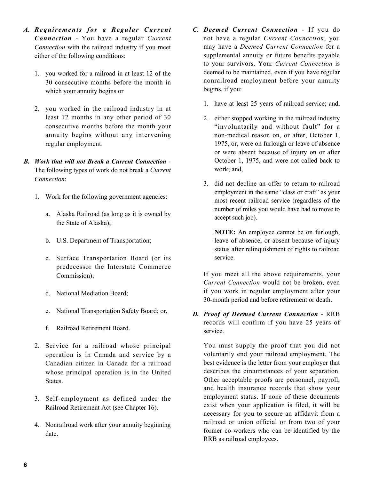- *A. Requirements for a Regular Current Connection* - You have a regular *Current Connection* with the railroad industry if you meet either of the following conditions:
	- 1. you worked for a railroad in at least 12 of the 30 consecutive months before the month in which your annuity begins or
	- 2. you worked in the railroad industry in at least 12 months in any other period of 30 consecutive months before the month your annuity begins without any intervening regular employment.
- *B. Work that will not Break a Current Connection*  The following types of work do not break a *Current Connection*:
	- 1. Work for the following government agencies:
		- a. Alaska Railroad (as long as it is owned by the State of Alaska);
		- b. U.S. Department of Transportation;
		- c. Surface Transportation Board (or its predecessor the Interstate Commerce Commission);
		- d. National Mediation Board;
		- e. National Transportation Safety Board; or,
		- f. Railroad Retirement Board.
	- whose principal operation is in the United 2. Service for a railroad whose principal operation is in Canada and service by a Canadian citizen in Canada for a railroad States.
	- 3. Self-employment as defined under the Railroad Retirement Act (see Chapter 16).
	- 4. Nonrailroad work after your annuity beginning date.
- to your survivors. Your *Current Connection* is *C. Deemed Current Connection* - If you do not have a regular *Current Connection*, you may have a *Deemed Current Connection* for a supplemental annuity or future benefits payable deemed to be maintained, even if you have regular nonrailroad employment before your annuity begins, if you:
	- 1. have at least 25 years of railroad service; and,
	- 2. either stopped working in the railroad industry "involuntarily and without fault" for a non-medical reason on, or after, October 1, 1975, or, were on furlough or leave of absence or were absent because of injury on or after October 1, 1975, and were not called back to work; and,
	- 3. did not decline an offer to return to railroad employment in the same "class or craft" as your most recent railroad service (regardless of the number of miles you would have had to move to accept such job).

**NOTE:** An employee cannot be on furlough, leave of absence, or absent because of injury status after relinquishment of rights to railroad service.

If you meet all the above requirements, your *Current Connection* would not be broken, even if you work in regular employment after your 30-month period and before retirement or death.

*D. Proof of Deemed Current Connection* - RRB records will confirm if you have 25 years of service.

 and health insurance records that show your necessary for you to secure an affidavit from a You must supply the proof that you did not voluntarily end your railroad employment. The best evidence is the letter from your employer that describes the circumstances of your separation. Other acceptable proofs are personnel, payroll, employment status. If none of these documents exist when your application is filed, it will be railroad or union official or from two of your former co-workers who can be identified by the RRB as railroad employees.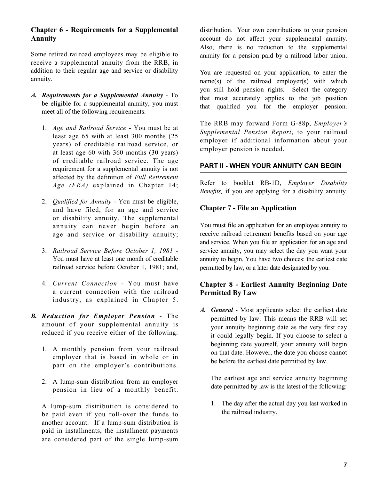#### **Chapter 6 - Requirements for a Supplemental Annuity**

Some retired railroad employees may be eligible to receive a supplemental annuity from the RRB, in addition to their regular age and service or disability annuity.

- *A. Requirements for a Supplemental Annuity* To be eligible for a supplemental annuity, you must meet all of the following requirements.
	- 1. *Age and Railroad Service* You must be at least age 65 with at least 300 months (25 years) of creditable railroad service, or at least age 60 with 360 months (30 years) of creditable railroad service. The age requirement for a supplemental annuity is not affected by the definition of *Full Retirement Age (FRA)* explained in Chapter 14;
	- 2. *Qualified for Annuity* You must be eligible, and have filed, for an age and service or disability annuity. The supplemental annuity can never begin before an age and service or disability annuity;
	- 3. *Railroad Service Before October 1, 1981* You must have at least one month of creditable railroad service before October 1, 1981; and,
	- 4. *Current Connection*  You must have a current connection with the railroad industry, as explained in Chapter 5.
- *B. Reduction for Employer Pension* The amount of your supplemental annuity is reduced if you receive either of the following:
	- 1. A monthly pension from your railroad employer that is based in whole or in part on the employer's contributions.
	- 2. A lump-sum distribution from an employer pension in lieu of a monthly benefit.

A lump-sum distribution is considered to be paid even if you roll-over the funds to another account. If a lump-sum distribution is paid in installments, the installment payments are considered part of the single lump-sum

distribution. Your own contributions to your pension account do not affect your supplemental annuity. Also, there is no reduction to the supplemental annuity for a pension paid by a railroad labor union.

You are requested on your application, to enter the name(s) of the railroad employer(s) with which you still hold pension rights. Select the category that most accurately applies to the job position that qualified you for the employer pension.

The RRB may forward Form G-88p, *Employer's Supplemental Pension Report*, to your railroad employer if additional information about your employer pension is needed.

#### **PART II - WHEN YOUR ANNUITY CAN BEGIN**

Refer to booklet RB-1D, *Employer Disability Benefits,* if you are applying for a disability annuity.

#### **Chapter 7 - File an Application**

 service annuity, you may select the day you want your You must file an application for an employee annuity to receive railroad retirement benefits based on your age and service. When you file an application for an age and annuity to begin. You have two choices: the earliest date permitted by law, or a later date designated by you.

#### **Chapter 8 - Earliest Annuity Beginning Date Permitted By Law**

*A. General* - Most applicants select the earliest date permitted by law. This means the RRB will set your annuity beginning date as the very first day it could legally begin. If you choose to select a beginning date yourself, your annuity will begin on that date. However, the date you choose cannot be before the earliest date permitted by law.

 The earliest age and service annuity beginning date permitted by law is the latest of the following:

1. The day after the actual day you last worked in the railroad industry.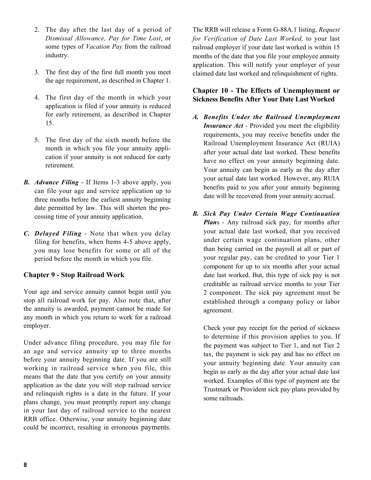- 2. The day after the last day of a period of *Dismissal Allowance, Pay for Time Lost*, or some types of *Vacation Pay* from the railroad industry.
- 3. The first day of the first full month you meet the age requirement, as described in Chapter 1.
- 4. The first day of the month in which your application is filed if your annuity is reduced for early retirement, as described in Chapter 15.
- 5. The first day of the sixth month before the month in which you file your annuity application if your annuity is not reduced for early retirement.
- *B. Advance Filing* If Items 1-3 above apply, you can file your age and service application up to three months before the earliest annuity beginning date permitted by law. This will shorten the processing time of your annuity application.
- *C. Delayed Filing* Note that when you delay filing for benefits, when Items 4-5 above apply, you may lose benefits for some or all of the period before the month in which you file.

#### **Chapter 9 - Stop Railroad Work**

Your age and service annuity cannot begin until you stop all railroad work for pay. Also note that, after the annuity is awarded, payment cannot be made for any month in which you return to work for a railroad employer.

 means that the date that you certify on your annuity Under advance filing procedure, you may file for an age and service annuity up to three months before your annuity beginning date. If you are still working in railroad service when you file, this application as the date you will stop railroad service and relinquish rights is a date in the future. If your plans change, you must promptly report any change in your last day of railroad service to the nearest RRB office. Otherwise, your annuity beginning date could be incorrect, resulting in erroneous payments.

 application. This will notify your employer of your The RRB will release a Form G-88A.1 listing, *Request for Verification of Date Last Worked,* to your last railroad employer if your date last worked is within 15 months of the date that you file your employee annuity claimed date last worked and relinquishment of rights.

#### **Chapter 10 - The Effects of Unemployment or Sickness Benefits After Your Date Last Worked**

- *A. Benefits Under the Railroad Unemployment Insurance Act* - Provided you meet the eligibility requirements, you may receive benefits under the Railroad Unemployment Insurance Act (RUIA) after your actual date last worked. These benefits have no effect on your annuity beginning date. Your annuity can begin as early as the day after your actual date last worked. However, any RUIA benefits paid to you after your annuity beginning date will be recovered from your annuity accrual.
- *B. Sick Pay Under Certain Wage Continuation Plan*s - Any railroad sick pay, for months after your actual date last worked, that you received under certain wage continuation plans, other than being carried on the payroll at all or part of your regular pay, can be credited to your Tier 1 component for up to six months after your actual date last worked. But, this type of sick pay is not creditable as railroad service months to your Tier 2 component. The sick pay agreement must be established through a company policy or labor agreement.

Check your pay receipt for the period of sickness to determine if this provision applies to you. If the payment was subject to Tier 1, and not Tier 2 tax, the payment is sick pay and has no effect on your annuity beginning date. Your annuity can begin as early as the day after your actual date last worked. Examples of this type of payment are the Trustmark or Provident sick pay plans provided by some railroads.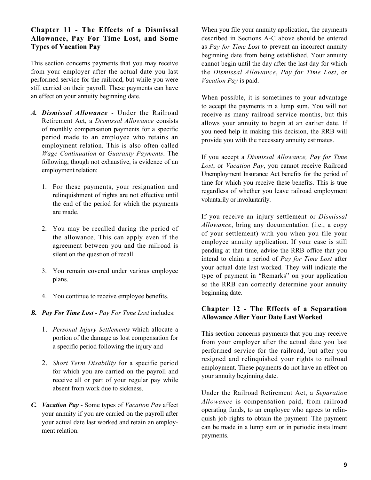#### **Chapter 11 - The Effects of a Dismissal Allowance, Pay For Time Lost, and Some Types of Vacation Pay**

This section concerns payments that you may receive from your employer after the actual date you last performed service for the railroad, but while you were still carried on their payroll. These payments can have an effect on your annuity beginning date.

- *A. Dismissal Allowance* Under the Railroad Retirement Act, a *Dismissal Allowance* consists of monthly compensation payments for a specific period made to an employee who retains an employment relation. This is also often called *Wage Continuation* or *Guaranty Payments*. The following, though not exhaustive, is evidence of an employment relation:
	- 1. For these payments, your resignation and relinquishment of rights are not effective until the end of the period for which the payments are made.
	- 2. You may be recalled during the period of the allowance. This can apply even if the agreement between you and the railroad is silent on the question of recall.
	- 3. You remain covered under various employee plans.
	- 4. You continue to receive employee benefits.
- *B. Pay For Time Lost Pay For Time Lost* includes:
	- 1. *Personal Injury Settlements* which allocate a portion of the damage as lost compensation for a specific period following the injury and
	- 2. *Short Term Disability* for a specific period for which you are carried on the payroll and receive all or part of your regular pay while absent from work due to sickness.
- *C. Vacation Pay* Some types of *Vacation Pay* affect your annuity if you are carried on the payroll after your actual date last worked and retain an employment relation.

When you file your annuity application, the payments described in Sections A-C above should be entered as *Pay for Time Lost* to prevent an incorrect annuity beginning date from being established. Your annuity cannot begin until the day after the last day for which the *Dismissal Allowance*, *Pay for Time Lost*, or *Vacation Pay* is paid.

When possible, it is sometimes to your advantage to accept the payments in a lump sum. You will not receive as many railroad service months, but this allows your annuity to begin at an earlier date. If you need help in making this decision, the RRB will provide you with the necessary annuity estimates.

If you accept a *Dismissal Allowance, Pay for Time Lost*, or *Vacation Pay*, you cannot receive Railroad Unemployment Insurance Act benefits for the period of time for which you receive these benefits. This is true regardless of whether you leave railroad employment voluntarily or involuntarily.

If you receive an injury settlement or *Dismissal Allowance*, bring any documentation (i.e., a copy of your settlement) with you when you file your employee annuity application. If your case is still pending at that time, advise the RRB office that you intend to claim a period of *Pay for Time Lost* after your actual date last worked. They will indicate the type of payment in "Remarks" on your application so the RRB can correctly determine your annuity beginning date.

### **Chapter 12 - The Effects of a Separation Allowance After Your Date Last Worked**

This section concerns payments that you may receive from your employer after the actual date you last performed service for the railroad, but after you resigned and relinquished your rights to railroad employment. These payments do not have an effect on your annuity beginning date.

Under the Railroad Retirement Act, a *Separation Allowance* is compensation paid, from railroad operating funds, to an employee who agrees to relinquish job rights to obtain the payment. The payment can be made in a lump sum or in periodic installment payments.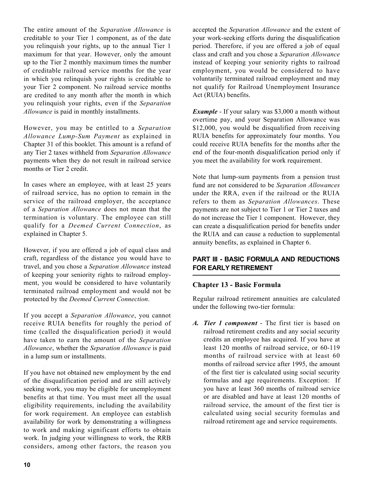you relinquish your rights, up to the annual Tier 1 you relinquish your rights, even if the *Separation*  The entire amount of the *Separation Allowance* is creditable to your Tier 1 component, as of the date maximum for that year. However, only the amount up to the Tier 2 monthly maximum times the number of creditable railroad service months for the year in which you relinquish your rights is creditable to your Tier 2 component. No railroad service months are credited to any month after the month in which *Allowance* is paid in monthly installments.

However, you may be entitled to a *Separation Allowance Lump-Sum Payment* as explained in Chapter 31 of this booklet. This amount is a refund of any Tier 2 taxes withheld from *Separation Allowance*  payments when they do not result in railroad service months or Tier 2 credit.

 In cases where an employee, with at least 25 years of railroad service, has no option to remain in the service of the railroad employer, the acceptance of a *Separation Allowance* does not mean that the termination is voluntary. The employee can still qualify for a *Deemed Current Connection*, as explained in Chapter 5.

 of keeping your seniority rights to railroad employ- ment, you would be considered to have voluntarily However, if you are offered a job of equal class and craft, regardless of the distance you would have to travel, and you chose a *Separation Allowance* instead terminated railroad employment and would not be protected by the *Deemed Current Connection*.

If you accept a *Separation Allowance*, you cannot receive RUIA benefits for roughly the period of time (called the disqualification period) it would have taken to earn the amount of the *Separation Allowance*, whether the *Separation Allowance* is paid in a lump sum or installments.

 for work requirement. An employee can establish If you have not obtained new employment by the end of the disqualification period and are still actively seeking work, you may be eligible for unemployment benefits at that time. You must meet all the usual eligibility requirements, including the availability availability for work by demonstrating a willingness to work and making significant efforts to obtain work. In judging your willingness to work, the RRB considers, among other factors, the reason you

accepted the *Separation Allowance* and the extent of your work-seeking efforts during the disqualification period. Therefore, if you are offered a job of equal class and craft and you chose a *Separation Allowance*  instead of keeping your seniority rights to railroad employment, you would be considered to have voluntarily terminated railroad employment and may not qualify for Railroad Unemployment Insurance Act (RUIA) benefits.

*Example* - If your salary was \$3,000 a month without overtime pay, and your Separation Allowance was \$12,000, you would be disqualified from receiving RUIA benefits for approximately four months. You could receive RUIA benefits for the months after the end of the four-month disqualification period only if you meet the availability for work requirement.

Note that lump-sum payments from a pension trust fund are not considered to be *Separation Allowances*  under the RRA, even if the railroad or the RUIA refers to them as *Separation Allowances*. These payments are not subject to Tier 1 or Tier 2 taxes and do not increase the Tier 1 component. However, they can create a disqualification period for benefits under the RUIA and can cause a reduction to supplemental annuity benefits, as explained in Chapter 6.

#### **PART III - BASIC FORMULA AND REDUCTIONS FOR EARLY RETIREMENT**

#### **Chapter 13 - Basic Formula**

Regular railroad retirement annuities are calculated under the following two-tier formula:

 months of railroad service with at least 60 or are disabled and have at least 120 months of *A. Tier 1 component* - The first tier is based on railroad retirement credits and any social security credits an employee has acquired. If you have at least 120 months of railroad service, or 60-119 months of railroad service after 1995, the amount of the first tier is calculated using social security formulas and age requirements. Exception: If you have at least 360 months of railroad service railroad service, the amount of the first tier is calculated using social security formulas and railroad retirement age and service requirements.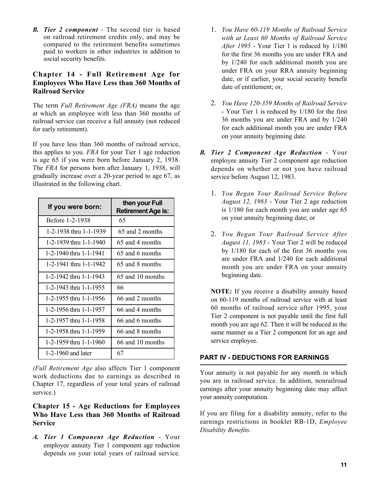*B. Tier 2 component* - The second tier is based on railroad retirement credits only, and may be compared to the retirement benefits sometimes paid to workers in other industries in addition to social security benefits.

#### **Chapter 14 - Full Retirement Age for Employees Who Have Less than 360 Months of Railroad Service**

The term *Full Retirement Age (FRA)* means the age at which an employee with less than 360 months of railroad service can receive a full annuity (not reduced for early retirement).

If you have less than 360 months of railroad service, this applies to you. *FRA* for your Tier 1 age reduction is age 65 if you were born before January 2, 1938. The *FRA* for persons born after January 1, 1938, will gradually increase over a 20-year period to age 67, as illustrated in the following chart.

| If you were born:      | then your Full<br><b>Retirement Age is:</b> |  |
|------------------------|---------------------------------------------|--|
| Before 1-2-1938        | 65                                          |  |
| 1-2-1938 thru 1-1-1939 | 65 and 2 months                             |  |
| 1-2-1939 thru 1-1-1940 | 65 and 4 months                             |  |
| 1-2-1940 thru 1-1-1941 | 65 and 6 months                             |  |
| 1-2-1941 thru 1-1-1942 | 65 and 8 months                             |  |
| 1-2-1942 thru 1-1-1943 | 65 and 10 months                            |  |
| 1-2-1943 thru 1-1-1955 | 66                                          |  |
| 1-2-1955 thru 1-1-1956 | 66 and 2 months                             |  |
| 1-2-1956 thru 1-1-1957 | 66 and 4 months                             |  |
| 1-2-1957 thru 1-1-1958 | 66 and 6 months                             |  |
| 1-2-1958 thru 1-1-1959 | 66 and 8 months                             |  |
| 1-2-1959 thru 1-1-1960 | 66 and 10 months                            |  |
| $1-2-1960$ and later   | 67                                          |  |

*(Full Retirement Age* also affects Tier 1 component work deductions due to earnings as described in Chapter 17, regardless of your total years of railroad service.)

#### **Chapter 15 - Age Reductions for Employees Who Have Less than 360 Months of Railroad Service**

 *A. Tier 1 Component Age Reduction* - Your employee annuity Tier 1 component age reduction depends on your total years of railroad service.

- 1. *You Have 60-119 Months of Railroad Service with at Least 60 Months of Railroad Service After 1995* - Your Tier 1 is reduced by 1/180 for the first 36 months you are under FRA and by 1/240 for each additional month you are under FRA on your RRA annuity beginning date, or if earlier, your social security benefit date of entitlement; or,
- 2. *You Have 120-359 Months of Railroad Service*  - Your Tier 1 is reduced by 1/180 for the first 36 months you are under FRA and by 1/240 for each additional month you are under FRA on your annuity beginning date.
- *B. Tier 2 Component Age Reduction* Your employee annuity Tier 2 component age reduction depends on whether or not you have railroad service before August 12, 1983.
	- 1. *You Began Your Railroad Service Before August 12, 1983* - Your Tier 2 age reduction is 1/180 for each month you are under age 65 on your annuity beginning date; or
	- 2. *You Began Your Railroad Service After August 11, 1983* - Your Tier 2 will be reduced by 1/180 for each of the first 36 months you are under FRA and 1/240 for each additional month you are under FRA on your annuity beginning date.

**NOTE:** If you receive a disability annuity based on 60-119 months of railroad service with at least 60 months of railroad service after 1995, your Tier 2 component is not payable until the first full month you are age 62. Then it will be reduced in the same manner as a Tier 2 component for an age and service employee.

#### **PART IV - DEDUCTIONS FOR EARNINGS**

 Your annuity is not payable for any month in which you are in railroad service. In addition, nonrailroad earnings after your annuity beginning date may affect your annuity computation.

 earnings restrictions in booklet RB-1D, *Employee*  If you are filing for a disability annuity, refer to the *Disability Benefits*.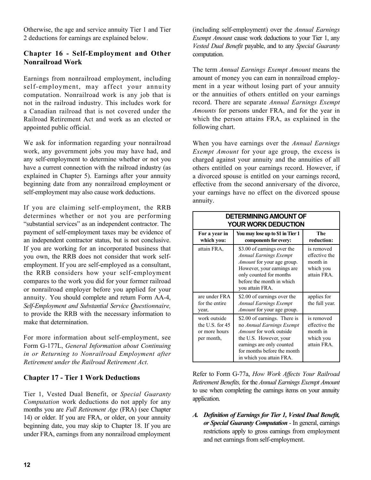Otherwise, the age and service annuity Tier 1 and Tier 2 deductions for earnings are explained below.

#### **Chapter 16 - Self-Employment and Other Nonrailroad Work**

 a Canadian railroad that is not covered under the Earnings from nonrailroad employment, including self-employment, may affect your annuity computation. Nonrailroad work is any job that is not in the railroad industry. This includes work for Railroad Retirement Act and work as an elected or appointed public official.

We ask for information regarding your nonrailroad work, any government jobs you may have had, and any self-employment to determine whether or not you have a current connection with the railroad industry (as explained in Chapter 5). Earnings after your annuity beginning date from any nonrailroad employment or self-employment may also cause work deductions.

If you are claiming self-employment, the RRB determines whether or not you are performing "substantial services" as an independent contractor. The payment of self-employment taxes may be evidence of an independent contractor status, but is not conclusive. If you are working for an incorporated business that you own, the RRB does not consider that work selfemployment. If you are self-employed as a consultant, the RRB considers how your self-employment compares to the work you did for your former railroad or nonrailroad employer before you applied for your annuity. You should complete and return Form AA-4, *Self-Employment and Substantial Service Questionnaire,*  to provide the RRB with the necessary information to make that determination.

For more information about self-employment, see Form G-177L, *General Information about Continuing in or Returning to Nonrailroad Employment after Retirement under the Railroad Retirement Act*.

#### **Chapter 17 - Tier 1 Work Deductions**

Tier 1, Vested Dual Benefit, or *Special Guaranty Computation* work deductions do not apply for any months you are *Full Retirement Age* (FRA) (see Chapter 14) or older. If you are FRA, or older, on your annuity beginning date, you may skip to Chapter 18. If you are under FRA, earnings from any nonrailroad employment (including self-employment) over the *Annual Earnings Exempt Amount* cause work deductions to your Tier 1, any *Vested Dual Benefit* payable, and to any *Special Guaranty*  computation.

 ment in a year without losing part of your annuity The term *Annual Earnings Exempt Amount* means the amount of money you can earn in nonrailroad employor the annuities of others entitled on your earnings record. There are separate *Annual Earnings Exempt Amounts* for persons under FRA, and for the year in which the person attains FRA, as explained in the following chart.

When you have earnings over the *Annual Earnings Exempt Amount* for your age group, the excess is charged against your annuity and the annuities of all others entitled on your earnings record. However, if a divorced spouse is entitled on your earnings record, effective from the second anniversary of the divorce, your earnings have no effect on the divorced spouse annuity.

| <b>DETERMINING AMOUNT OF</b><br><b>YOUR WORK DEDUCTION</b>     |                                                                                                                                                                                                               |                                                                     |  |  |  |
|----------------------------------------------------------------|---------------------------------------------------------------------------------------------------------------------------------------------------------------------------------------------------------------|---------------------------------------------------------------------|--|--|--|
| For a year in<br>which you:                                    | You may lose up to \$1 in Tier 1<br>components for every:                                                                                                                                                     | The<br>reduction:                                                   |  |  |  |
| attain FRA,                                                    | \$3.00 of earnings over the<br><b>Annual Earnings Exempt</b><br>Amount for your age group.<br>However, your earnings are<br>only counted for months<br>before the month in which<br>you attain FRA.           | is removed<br>effective the<br>month in<br>which you<br>attain FRA. |  |  |  |
| are under FRA<br>for the entire<br>year,                       | \$2.00 of earnings over the<br><b>Annual Earnings Exempt</b><br><i>Amount</i> for your age group.                                                                                                             | applies for<br>the full year.                                       |  |  |  |
| work outside<br>the U.S. for 45<br>or more hours<br>per month, | \$2.00 of earnings. There is<br>no Annual Earnings Exempt<br><i>Amount</i> for work outside<br>the U.S. However, your<br>earnings are only counted<br>for months before the month<br>in which you attain FRA. | is removed<br>effective the<br>month in<br>which you<br>attain FRA. |  |  |  |

Refer to Form G-77a, *How Work Affects Your Railroad Retirement Benefits,* for the *Annual Earnings Exempt Amount*  to use when completing the earnings items on your annuity application.

 restrictions apply to gross earnings from employment *A. Definition of Earnings for Tier 1, Vested Dual Benefit, or Special Guaranty Computation* - In general, earnings and net earnings from self-employment.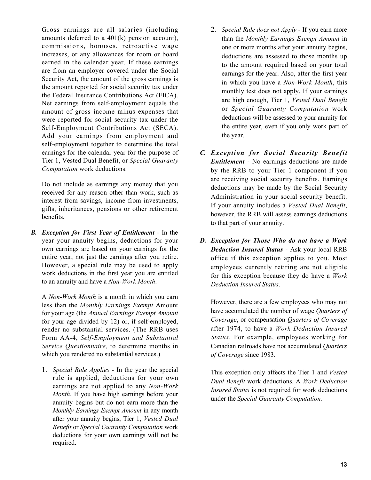Gross earnings are all salaries (including amounts deferred to a 401(k) pension account), commissions, bonuses, retroactive wage increases, or any allowances for room or board earned in the calendar year. If these earnings are from an employer covered under the Social Security Act, the amount of the gross earnings is the amount reported for social security tax under the Federal Insurance Contributions Act (FICA). Net earnings from self-employment equals the amount of gross income minus expenses that were reported for social security tax under the Self-Employment Contributions Act (SECA). Add your earnings from employment and self-employment together to determine the total earnings for the calendar year for the purpose of Tier 1, Vested Dual Benefit, or *Special Guaranty Computation* work deductions. is example, and a latterior strength and the control of the special Rule does not Apply 1 Figure and the special Rule and the special Rule and the special Rule and the special Rule and the special Rule and the special Rule

 interest from savings, income from investments, Do not include as earnings any money that you received for any reason other than work, such as gifts, inheritances, pensions or other retirement benefits.

 However, a special rule may be used to apply *B. Exception for First Year of Entitlement* - In the year your annuity begins, deductions for your own earnings are based on your earnings for the entire year, not just the earnings after you retire. work deductions in the first year you are entitled to an annuity and have a *Non-Work Month*.

 *Service Questionnaire,* to determine months in A *Non-Work Month* is a month in which you earn less than the *Monthly Earnings Exempt* Amount for your age (the *Annual Earnings Exempt Amount*  for your age divided by 12) or, if self-employed, render no substantial services. (The RRB uses Form AA-4, *Self-Employment and Substantial*  which you rendered no substantial services.)

 annuity begins but do not earn more than the after your annuity begins, Tier 1, *Vested Dual*  required. 1. *Special Rule Applies* - In the year the special rule is applied, deductions for your own earnings are not applied to any *Non-Work Month*. If you have high earnings before your *Monthly Earnings Exempt Amount* in any month *Benefit* or *Special Guaranty Computation* work deductions for your own earnings will not be

- than the *Monthly Earnings Exempt Amount* in deductions will be assessed to your annuity for one or more months after your annuity begins, deductions are assessed to those months up to the amount required based on your total earnings for the year. Also, after the first year in which you have a *Non-Work Month*, this monthly test does not apply. If your earnings are high enough, Tier 1, *Vested Dual Benefit*  or *Special Guaranty Computation* work the entire year, even if you only work part of the year.
- *C. Exception for Social Security Benefit Entitlement* - No earnings deductions are made by the RRB to your Tier 1 component if you are receiving social security benefits. Earnings deductions may be made by the Social Security Administration in your social security benefit. If your annuity includes a *Vested Dual Benefit*, however, the RRB will assess earnings deductions to that part of your annuity.
- *D. Exception for Those Who do not have a Work Deduction Insured Status* - Ask your local RRB office if this exception applies to you. Most employees currently retiring are not eligible for this exception because they do have a *Work Deduction Insured Status*.

However, there are a few employees who may not have accumulated the number of wage *Quarters of Coverage*, or compensation *Quarters of Coverage*  after 1974, to have a *Work Deduction Insured Status*. For example, employees working for Canadian railroads have not accumulated *Quarters of Coverage* since 1983.

This exception only affects the Tier 1 and *Vested Dual Benefit* work deductions. A *Work Deduction Insured Status* is not required for work deductions under the *Special Guaranty Computation.*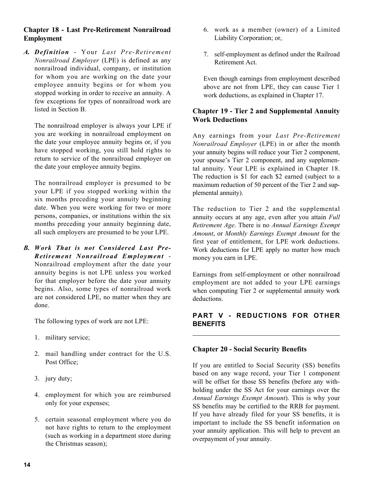#### **Chapter 18 - Last Pre-Retirement Nonrailroad Employment**

*A. Definition* - Your *Last Pre-Retirement Nonrailroad Employer* (LPE) is defined as any nonrailroad individual, company, or institution for whom you are working on the date your employee annuity begins or for whom you stopped working in order to receive an annuity. A few exceptions for types of nonrailroad work are listed in Section B.

The nonrailroad employer is always your LPE if you are working in nonrailroad employment on the date your employee annuity begins or, if you have stopped working, you still hold rights to return to service of the nonrailroad employer on the date your employee annuity begins.

 months preceding your annuity beginning date, The nonrailroad employer is presumed to be your LPE if you stopped working within the six months preceding your annuity beginning date. When you were working for two or more persons, companies, or institutions within the six all such employers are presumed to be your LPE.

 begins. Also, some types of nonrailroad work *B. Work That is not Considered Last Pre-Retirement Nonrailroad Employment* - Nonrailroad employment after the date your annuity begins is not LPE unless you worked for that employer before the date your annuity are not considered LPE, no matter when they are done.

The following types of work are not LPE:

- 1. military service;
- 2. mail handling under contract for the U.S. Post Office;
- 3. jury duty;
- 4. employment for which you are reimbursed only for your expenses;
- 5. certain seasonal employment where you do not have rights to return to the employment (such as working in a department store during the Christmas season);
- 6. work as a member (owner) of a Limited Liability Corporation; or,
- 7. self-employment as defined under the Railroad Retirement Act.

 above are not from LPE, they can cause Tier 1 Even though earnings from employment described work deductions, as explained in Chapter 17.

#### **Chapter 19 - Tier 2 and Supplemental Annuity Work Deductions**

Any earnings from your *Last Pre-Retirement Nonrailroad Employer* (LPE) in or after the month your annuity begins will reduce your Tier 2 component, your spouse's Tier 2 component, and any supplemental annuity. Your LPE is explained in Chapter 18. The reduction is \$1 for each \$2 earned (subject to a maximum reduction of 50 percent of the Tier 2 and supplemental annuity).

The reduction to Tier 2 and the supplemental annuity occurs at any age, even after you attain *Full Retirement Age*. There is no *Annual Earnings Exempt Amount*, or *Monthly Earnings Exempt Amount* for the first year of entitlement, for LPE work deductions. Work deductions for LPE apply no matter how much money you earn in LPE.

Earnings from self-employment or other nonrailroad employment are not added to your LPE earnings when computing Tier 2 or supplemental annuity work deductions.

### **PART V - REDUCTIONS FOR OTHER BENEFITS**

#### **Chapter 20 - Social Security Benefits**

If you are entitled to Social Security (SS) benefits based on any wage record, your Tier 1 component will be offset for those SS benefits (before any withholding under the SS Act for your earnings over the *Annual Earnings Exempt Amount*). This is why your SS benefits may be certified to the RRB for payment. If you have already filed for your SS benefits, it is important to include the SS benefit information on your annuity application. This will help to prevent an overpayment of your annuity.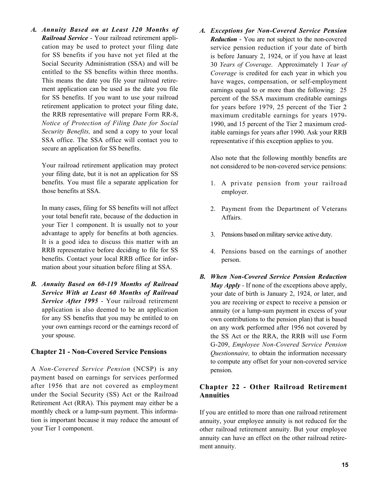*A. Annuity Based on at Least 120 Months of Railroad Service* - Your railroad retirement application may be used to protect your filing date for SS benefits if you have not yet filed at the Social Security Administration (SSA) and will be entitled to the SS benefits within three months. This means the date you file your railroad retirement application can be used as the date you file for SS benefits. If you want to use your railroad retirement application to protect your filing date, the RRB representative will prepare Form RR-8, *Notice of Protection of Filing Date for Social Security Benefits,* and send a copy to your local SSA office. The SSA office will contact you to secure an application for SS benefits.

Your railroad retirement application may protect your filing date, but it is not an application for SS benefits. You must file a separate application for those benefits at SSA.

In many cases, filing for SS benefits will not affect your total benefit rate, because of the deduction in your Tier 1 component. It is usually not to your advantage to apply for benefits at both agencies. It is a good idea to discuss this matter with an RRB representative before deciding to file for SS benefits. Contact your local RRB office for information about your situation before filing at SSA.

*B. Annuity Based on 60-119 Months of Railroad Service With at Least 60 Months of Railroad Service After 1995* - Your railroad retirement application is also deemed to be an application for any SS benefits that you may be entitled to on your own earnings record or the earnings record of your spouse.

#### **Chapter 21 - Non-Covered Service Pensions**

A *Non-Covered Service Pension* (NCSP) is any payment based on earnings for services performed after 1956 that are not covered as employment under the Social Security (SS) Act or the Railroad Retirement Act (RRA). This payment may either be a monthly check or a lump-sum payment. This information is important because it may reduce the amount of your Tier 1 component.

*A. Exceptions for Non-Covered Service Pension Reduction* - You are not subject to the non-covered service pension reduction if your date of birth is before January 2, 1924, or if you have at least 30 *Years of Coverage*. Approximately 1 *Year of Coverage* is credited for each year in which you have wages, compensation, or self-employment earnings equal to or more than the following: 25 percent of the SSA maximum creditable earnings for years before 1979, 25 percent of the Tier 2 maximum creditable earnings for years 1979- 1990, and 15 percent of the Tier 2 maximum creditable earnings for years after 1990. Ask your RRB representative if this exception applies to you.

Also note that the following monthly benefits are not considered to be non-covered service pensions:

- 1. A private pension from your railroad employer.
- 2. Payment from the Department of Veterans Affairs.
- 3. Pensions based on military service active duty.
- 4. Pensions based on the earnings of another person.
- *May Apply*  If none of the exceptions above apply, *B. When Non-Covered Service Pension Reduction*  your date of birth is January 2, 1924, or later, and you are receiving or expect to receive a pension or annuity (or a lump-sum payment in excess of your own contributions to the pension plan) that is based on any work performed after 1956 not covered by the SS Act or the RRA, the RRB will use Form G-209, *Employee Non-Covered Service Pension Questionnaire,* to obtain the information necessary to compute any offset for your non-covered service pension.

### **Chapter 22 - Other Railroad Retirement Annuities**

If you are entitled to more than one railroad retirement annuity, your employee annuity is not reduced for the other railroad retirement annuity. But your employee annuity can have an effect on the other railroad retirement annuity.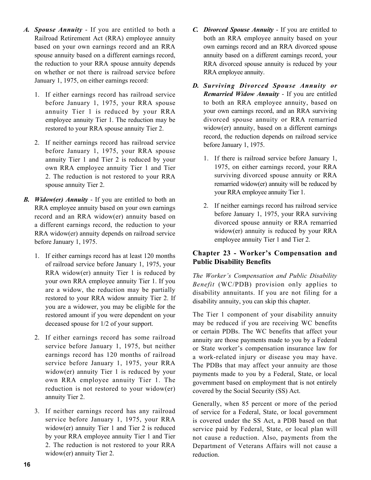- *A. Spouse Annuity* If you are entitled to both a Railroad Retirement Act (RRA) employee annuity based on your own earnings record and an RRA spouse annuity based on a different earnings record, the reduction to your RRA spouse annuity depends on whether or not there is railroad service before January 1, 1975, on either earnings record:
	- 1. If either earnings record has railroad service before January 1, 1975, your RRA spouse annuity Tier 1 is reduced by your RRA employee annuity Tier 1. The reduction may be restored to your RRA spouse annuity Tier 2.
	- 2. The reduction is not restored to your RRA 2. If neither earnings record has railroad service before January 1, 1975, your RRA spouse annuity Tier 1 and Tier 2 is reduced by your own RRA employee annuity Tier 1 and Tier spouse annuity Tier 2.
- *B. Widow(er) Annuity*  If you are entitled to both an RRA employee annuity based on your own earnings record and an RRA widow(er) annuity based on a different earnings record, the reduction to your RRA widow(er) annuity depends on railroad service before January 1, 1975.
	- are a widow, the reduction may be partially 1. If either earnings record has at least 120 months of railroad service before January 1, 1975, your RRA widow(er) annuity Tier 1 is reduced by your own RRA employee annuity Tier 1. If you restored to your RRA widow annuity Tier 2. If you are a widower, you may be eligible for the restored amount if you were dependent on your deceased spouse for 1/2 of your support.
	- 2. If either earnings record has some railroad service before January 1, 1975, but neither earnings record has 120 months of railroad service before January 1, 1975, your RRA widow(er) annuity Tier 1 is reduced by your own RRA employee annuity Tier 1. The reduction is not restored to your widow(er) annuity Tier 2.
	- 2. The reduction is not restored to your RRA widow(er) annuity Tier 2. 3. If neither earnings record has any railroad service before January 1, 1975, your RRA widow(er) annuity Tier 1 and Tier 2 is reduced by your RRA employee annuity Tier 1 and Tier
- both an RRA employee annuity based on your own earnings record and an RRA divorced spouse annuity based on a different earnings record, your RRA divorced spouse annuity is reduced by your RRA employee annuity.
- *D. Surviving Divorced Spouse Annuity or Remarried Widow Annuity* - If you are entitled to both an RRA employee annuity, based on your own earnings record, and an RRA surviving divorced spouse annuity or RRA remarried widow(er) annuity, based on a different earnings record, the reduction depends on railroad service before January 1, 1975.
	- 1. If there is railroad service before January 1, 1975, on either earnings record, your RRA surviving divorced spouse annuity or RRA remarried widow(er) annuity will be reduced by your RRA employee annuity Tier 1.
	- 2. If neither earnings record has railroad service before January 1, 1975, your RRA surviving divorced spouse annuity or RRA remarried widow(er) annuity is reduced by your RRA employee annuity Tier 1 and Tier 2.

#### **Chapter 23 - Worker's Compensation and Public Disability Benefits**

*The Worker's Compensation and Public Disability Benefit* (WC/PDB) provision only applies to disability annuitants. If you are not filing for a disability annuity, you can skip this chapter.

work (Real method is not all the basis of the method spouse Annuity Tier 2. **C.** C. Divorced Spouse Annuity Tier 2. The entitled to pure annually real method of the point of the spouse Annually real method is a proportion The Tier 1 component of your disability annuity may be reduced if you are receiving WC benefits or certain PDBs. The WC benefits that affect your annuity are those payments made to you by a Federal or State worker's compensation insurance law for a work-related injury or disease you may have. The PDBs that may affect your annuity are those payments made to you by a Federal, State, or local government based on employment that is not entirely covered by the Social Security (SS) Act.

Generally, when 85 percent or more of the period of service for a Federal, State, or local government is covered under the SS Act, a PDB based on that service paid by Federal, State, or local plan will not cause a reduction. Also, payments from the Department of Veterans Affairs will not cause a reduction.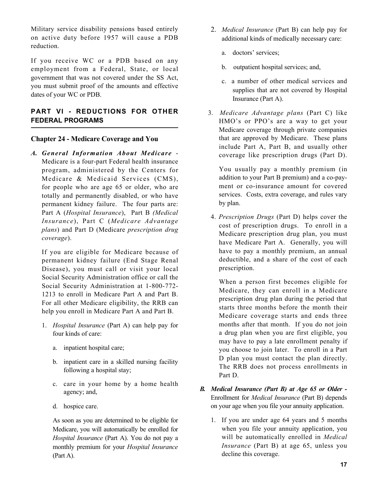Military service disability pensions based entirely on active duty before 1957 will cause a PDB reduction.

If you receive WC or a PDB based on any employment from a Federal, State, or local government that was not covered under the SS Act, you must submit proof of the amounts and effective dates of your WC or PDB.

#### **PART VI - REDUCTIONS FOR OTHER FEDERAL PROGRAMS**

#### **Chapter 24 - Medicare Coverage and You**

*A. General Information About Medicare* - Medicare is a four-part Federal health insurance program, administered by the Centers for Medicare & Medicaid Services (CMS), for people who are age 65 or older, who are totally and permanently disabled, or who have permanent kidney failure. The four parts are: Part A (*Hospital Insurance*), Part B *(Medical Insurance*), Part C (*Medicare Advantage plans*) and Part D (Medicare *prescription drug coverage*).

If you are eligible for Medicare because of permanent kidney failure (End Stage Renal Disease), you must call or visit your local Social Security Administration office or call the Social Security Administration at 1-800-772- 1213 to enroll in Medicare Part A and Part B. For all other Medicare eligibility, the RRB can help you enroll in Medicare Part A and Part B.

- 1. *Hospital Insurance* (Part A) can help pay for four kinds of care:
	- a. inpatient hospital care;
	- b. inpatient care in a skilled nursing facility following a hospital stay;
	- c. care in your home by a home health agency; and,
	- d. hospice care.

As soon as you are determined to be eligible for Medicare, you will automatically be enrolled for *Hospital Insurance* (Part A). You do not pay a monthly premium for your *Hospital Insurance*  (Part A).

- 2. *Medical Insurance* (Part B) can help pay for additional kinds of medically necessary care:
	- a. doctors' services;
	- b. outpatient hospital services; and,
	- c. a number of other medical services and supplies that are not covered by Hospital Insurance (Part A).
- 3. *Medicare Advantage plans* (Part C) like HMO's or PPO's are a way to get your Medicare coverage through private companies that are approved by Medicare. These plans include Part A, Part B, and usually other coverage like prescription drugs (Part D).

 ment or co-insurance amount for covered You usually pay a monthly premium (in addition to your Part B premium) and a co-payservices. Costs, extra coverage, and rules vary by plan.

 cost of prescription drugs. To enroll in a 4. *Prescription Drugs* (Part D) helps cover the Medicare prescription drug plan, you must have Medicare Part A. Generally, you will have to pay a monthly premium, an annual deductible, and a share of the cost of each prescription.

 When a person first becomes eligible for D plan you must contact the plan directly. Medicare, they can enroll in a Medicare prescription drug plan during the period that starts three months before the month their Medicare coverage starts and ends three months after that month. If you do not join a drug plan when you are first eligible, you may have to pay a late enrollment penalty if you choose to join later. To enroll in a Part The RRB does not process enrollments in Part D.

- *B. Medical Insurance (Part B) at Age 65 or Older -* Enrollment for *Medical Insurance* (Part B) depends on your age when you file your annuity application.
	- will be automatically enrolled in *Medical*  1. If you are under age 64 years and 5 months when you file your annuity application, you *Insurance* (Part B) at age 65, unless you decline this coverage.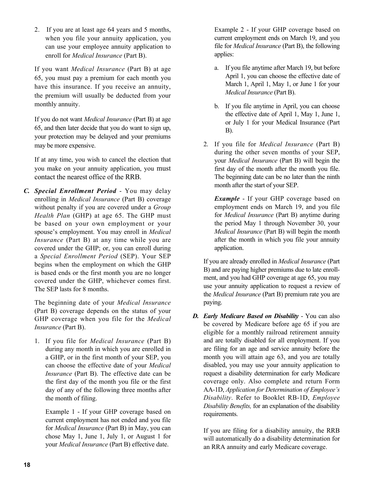2. If you are at least age 64 years and 5 months, when you file your annuity application, you can use your employee annuity application to enroll for *Medical Insurance* (Part B).

If you want *Medical Insurance* (Part B) at age 65, you must pay a premium for each month you have this insurance. If you receive an annuity, the premium will usually be deducted from your monthly annuity.

If you do not want *Medical Insurance* (Part B) at age 65, and then later decide that you do want to sign up, your protection may be delayed and your premiums may be more expensive.

If at any time, you wish to cancel the election that you make on your annuity application, you must contact the nearest office of the RRB.

*C. Special Enrollment Period* - You may delay enrolling in *Medical Insurance* (Part B) coverage without penalty if you are covered under a *Group Health Plan* (GHP) at age 65. The GHP must be based on your own employment or your spouse's employment. You may enroll in *Medical Insurance* (Part B) at any time while you are covered under the GHP; or, you can enroll during a *Special Enrollment Period* (SEP). Your SEP begins when the employment on which the GHP is based ends or the first month you are no longer covered under the GHP, whichever comes first. The SEP lasts for 8 months.

The beginning date of your *Medical Insurance*  (Part B) coverage depends on the status of your GHP coverage when you file for the *Medical Insurance* (Part B).

1. If you file for *Medical Insurance* (Part B) during any month in which you are enrolled in a GHP, or in the first month of your SEP, you can choose the effective date of your *Medical Insurance* (Part B). The effective date can be the first day of the month you file or the first day of any of the following three months after the month of filing.

Example 1 - If your GHP coverage based on current employment has not ended and you file for *Medical Insurance* (Part B) in May, you can chose May 1, June 1, July 1, or August 1 for your *Medical Insurance* (Part B) effective date.

Example 2 - If your GHP coverage based on current employment ends on March 19, and you file for *Medical Insurance* (Part B), the following applies:

- a. If you file anytime after March 19, but before April 1, you can choose the effective date of March 1, April 1, May 1, or June 1 for your *Medical Insurance* (Part B).
- b. If you file anytime in April, you can choose the effective date of April 1, May 1, June 1, or July 1 for your Medical Insurance (Part B).
- 2. If you file for *Medical Insurance* (Part B) during the other seven months of your SEP, your *Medical Insurance* (Part B) will begin the first day of the month after the month you file. The beginning date can be no later than the ninth month after the start of your SEP.

*Example* - If your GHP coverage based on employment ends on March 19, and you file for *Medical Insurance* (Part B) anytime during the period May 1 through November 30, your *Medical Insurance* (Part B) will begin the month after the month in which you file your annuity application.

If you are already enrolled in *Medical Insurance* (Part B) and are paying higher premiums due to late enrollment, and you had GHP coverage at age 65, you may use your annuity application to request a review of the *Medical Insurance* (Part B) premium rate you are paying.

 disabled, you may use your annuity application to *D. Early Medicare Based on Disability* - You can also be covered by Medicare before age 65 if you are eligible for a monthly railroad retirement annuity and are totally disabled for all employment. If you are filing for an age and service annuity before the month you will attain age 63, and you are totally request a disability determination for early Medicare coverage only. Also complete and return Form AA-1D, *Application for Determination of Employee's Disability*. Refer to Booklet RB-1D, *Employee Disability Benefits,* for an explanation of the disability requirements.

If you are filing for a disability annuity, the RRB will automatically do a disability determination for an RRA annuity and early Medicare coverage.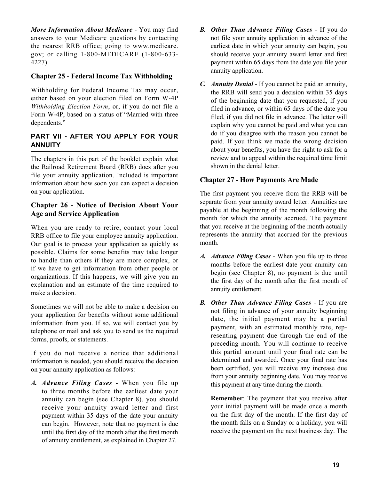answers to your Medicare questions by contacting *More Information About Medicare* - You may find the nearest RRB office; going to <www.medicare>. gov; or calling 1-800-MEDICARE (1-800-633- 4227).

#### **Chapter 25 - Federal Income Tax Withholding**

Withholding for Federal Income Tax may occur, either based on your election filed on Form W-4P *Withholding Election Form*, or, if you do not file a Form W-4P, based on a status of "Married with three dependents."

#### **PART VII - AFTER YOU APPLY FOR YOUR ANNUITY**

The chapters in this part of the booklet explain what the Railroad Retirement Board (RRB) does after you file your annuity application. Included is important information about how soon you can expect a decision on your application.

#### **Chapter 26 - Notice of Decision About Your Age and Service Application**

When you are ready to retire, contact your local RRB office to file your employee annuity application. Our goal is to process your application as quickly as possible. Claims for some benefits may take longer to handle than others if they are more complex, or if we have to get information from other people or organizations. If this happens, we will give you an explanation and an estimate of the time required to make a decision.

Sometimes we will not be able to make a decision on your application for benefits without some additional information from you. If so, we will contact you by telephone or mail and ask you to send us the required forms, proofs, or statements.

If you do not receive a notice that additional information is needed, you should receive the decision on your annuity application as follows:

*A. Advance Filing Cases* - When you file up to three months before the earliest date your annuity can begin (see Chapter 8), you should receive your annuity award letter and first payment within 35 days of the date your annuity can begin. However, note that no payment is due until the first day of the month after the first month of annuity entitlement, as explained in Chapter 27.

- *B. Other Than Advance Filing Cases* If you do not file your annuity application in advance of the earliest date in which your annuity can begin, you should receive your annuity award letter and first payment within 65 days from the date you file your annuity application.
- *C. Annuity Denial* If you cannot be paid an annuity, the RRB will send you a decision within 35 days of the beginning date that you requested, if you filed in advance, or within 65 days of the date you filed, if you did not file in advance. The letter will explain why you cannot be paid and what you can do if you disagree with the reason you cannot be paid. If you think we made the wrong decision about your benefits, you have the right to ask for a review and to appeal within the required time limit shown in the denial letter.

#### **Chapter 27 - How Payments Are Made**

The first payment you receive from the RRB will be separate from your annuity award letter. Annuities are payable at the beginning of the month following the month for which the annuity accrued. The payment that you receive at the beginning of the month actually represents the annuity that accrued for the previous month.

- *A. Advance Filing Cases* When you file up to three months before the earliest date your annuity can begin (see Chapter 8), no payment is due until the first day of the month after the first month of annuity entitlement.
- *B. Other Than Advance Filing Cases*  If you are not filing in advance of your annuity beginning date, the initial payment may be a partial payment, with an estimated monthly rate, representing payment due through the end of the preceding month. You will continue to receive this partial amount until your final rate can be determined and awarded. Once your final rate has been certified, you will receive any increase due from your annuity beginning date. You may receive this payment at any time during the month.

 your initial payment will be made once a month on the first day of the month. If the first day of **Remember**: The payment that you receive after the month falls on a Sunday or a holiday, you will receive the payment on the next business day. The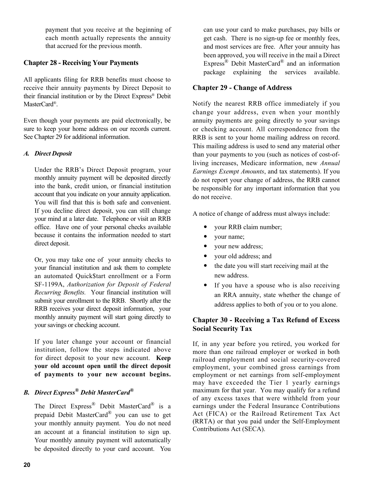payment that you receive at the beginning of each month actually represents the annuity that accrued for the previous month.

#### **Chapter 28 - Receiving Your Payments**

 receive their annuity payments by Direct Deposit to All applicants filing for RRB benefits must choose to their financial institution or by the Direct Express® Debit MasterCard®.

Even though your payments are paid electronically, be sure to keep your home address on our records current. See Chapter 29 for additional information.

#### *A. Direct Deposit*

 monthly annuity payment will be deposited directly Under the RRB's Direct Deposit program, your into the bank, credit union, or financial institution account that you indicate on your annuity application. You will find that this is both safe and convenient. If you decline direct deposit, you can still change your mind at a later date. Telephone or visit an RRB office. Have one of your personal checks available because it contains the information needed to start direct deposit.

 your financial institution and ask them to complete  *Recurring Benefits.* Your financial institution will Or, you may take one of your annuity checks to an automated Quick\$tart enrollment or a Form SF-1199A, *Authorization for Deposit of Federal*  submit your enrollment to the RRB. Shortly after the RRB receives your direct deposit information, your monthly annuity payment will start going directly to your savings or checking account.

If you later change your account or financial institution, follow the steps indicated above for direct deposit to your new account. **Keep your old account open until the direct deposit of payments to your new account begins.** 

## *B. Direct Express® Debit MasterCard®*

The Direct Express® Debit MasterCard® is a prepaid Debit MasterCard® you can use to get your monthly annuity payment. You do not need an account at a financial institution to sign up. Your monthly annuity payment will automatically be deposited directly to your card account. You

can use your card to make purchases, pay bills or get cash. There is no sign-up fee or monthly fees, and most services are free. After your annuity has been approved, you will receive in the mail a Direct Express® Debit MasterCard® and an information package explaining the services available.

## **Chapter 29 - Change of Address**

Notify the nearest RRB office immediately if you change your address, even when your monthly annuity payments are going directly to your savings or checking account. All correspondence from the RRB is sent to your home mailing address on record. This mailing address is used to send any material other than your payments to you (such as notices of cost-ofliving increases, Medicare information, new *Annual Earnings Exempt Amounts*, and tax statements). If you do not report your change of address, the RRB cannot be responsible for any important information that you do not receive.

A notice of change of address must always include:

- your RRB claim number;
- your name;
- your new address;
- your old address; and
- the date you will start receiving mail at the new address.
- If you have a spouse who is also receiving an RRA annuity, state whether the change of address applies to both of you or to you alone.

## **Chapter 30 - Receiving a Tax Refund of Excess Social Security Tax**

If, in any year before you retired, you worked for more than one railroad employer or worked in both railroad employment and social security-covered employment, your combined gross earnings from employment or net earnings from self-employment may have exceeded the Tier 1 yearly earnings maximum for that year. You may qualify for a refund of any excess taxes that were withheld from your earnings under the Federal Insurance Contributions Act (FICA) or the Railroad Retirement Tax Act (RRTA) or that you paid under the Self-Employment Contributions Act (SECA).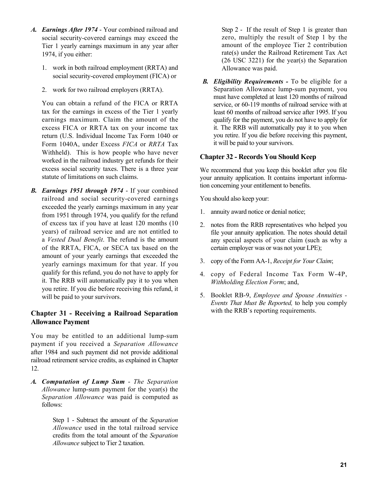- *A. Earnings After 1974*  Your combined railroad and social security-covered earnings may exceed the Tier 1 yearly earnings maximum in any year after 1974, if you either:
	- 1. work in both railroad employment (RRTA) and social security-covered employment (FICA) or
	- 2. work for two railroad employers (RRTA).

You can obtain a refund of the FICA or RRTA tax for the earnings in excess of the Tier 1 yearly earnings maximum. Claim the amount of the excess FICA or RRTA tax on your income tax return (U.S. Individual Income Tax Form 1040 or Form 1040A, under Excess *FICA* or *RRTA* Tax Withheld). This is how people who have never worked in the railroad industry get refunds for their excess social security taxes. There is a three year statute of limitations on such claims.

 amount of your yearly earnings that exceeded the *B. Earnings 1951 through 1974* - If your combined railroad and social security-covered earnings exceeded the yearly earnings maximum in any year from 1951 through 1974, you qualify for the refund of excess tax if you have at least 120 months (10 years) of railroad service and are not entitled to a *Vested Dual Benefit*. The refund is the amount of the RRTA, FICA, or SECA tax based on the yearly earnings maximum for that year. If you qualify for this refund, you do not have to apply for it. The RRB will automatically pay it to you when you retire. If you die before receiving this refund, it will be paid to your survivors.

#### **Chapter 31 - Receiving a Railroad Separation Allowance Payment**

You may be entitled to an additional lump-sum payment if you received a *Separation Allowance*  after 1984 and such payment did not provide additional railroad retirement service credits, as explained in Chapter 12.

*A. Computation of Lump Sum* - *The Separation Allowance* lump-sum payment for the year(s) the *Separation Allowance* was paid is computed as follows:

> Step 1 - Subtract the amount of the *Separation Allowance* used in the total railroad service credits from the total amount of the *Separation Allowance* subject to Tier 2 taxation.

Step 2 - If the result of Step 1 is greater than zero, multiply the result of Step 1 by the amount of the employee Tier 2 contribution rate(s) under the Railroad Retirement Tax Act (26 USC 3221) for the year(s) the Separation Allowance was paid.

*B. Eligibility Requirements -* To be eligible for a Separation Allowance lump-sum payment, you must have completed at least 120 months of railroad service, or 60-119 months of railroad service with at least 60 months of railroad service after 1995. If you qualify for the payment, you do not have to apply for it. The RRB will automatically pay it to you when you retire. If you die before receiving this payment, it will be paid to your survivors.

#### **Chapter 32 - Records You Should Keep**

We recommend that you keep this booklet after you file your annuity application. It contains important information concerning your entitlement to benefits.

You should also keep your:

- 1. annuity award notice or denial notice;
- 2. notes from the RRB representatives who helped you file your annuity application. The notes should detail any special aspects of your claim (such as why a certain employer was or was not your LPE);
- 3. copy of the Form AA-1, *Receipt for Your Claim*;
- 4. copy of Federal Income Tax Form W-4P, *Withholding Election Form*; and,
- 5. Booklet RB-9, *Employee and Spouse Annuities - Events That Must Be Reported,* to help you comply with the RRB's reporting requirements.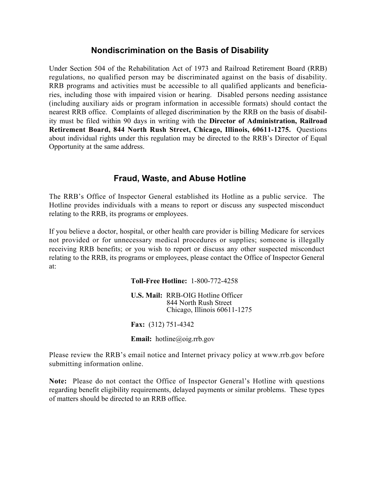## **Nondiscrimination on the Basis of Disability**

regulations, no qualified person may be discriminated against on the basis of disability. Opportunity at the same address. Under Section 504 of the Rehabilitation Act of 1973 and Railroad Retirement Board (RRB) RRB programs and activities must be accessible to all qualified applicants and beneficiaries, including those with impaired vision or hearing. Disabled persons needing assistance (including auxiliary aids or program information in accessible formats) should contact the nearest RRB office. Complaints of alleged discrimination by the RRB on the basis of disability must be filed within 90 days in writing with the **Director of Administration, Railroad Retirement Board, 844 North Rush Street, Chicago, Illinois, 60611-1275.** Questions about individual rights under this regulation may be directed to the RRB's Director of Equal

## **Fraud, Waste, and Abuse Hotline**

The RRB's Office of Inspector General established its Hotline as a public service. The Hotline provides individuals with a means to report or discuss any suspected misconduct relating to the RRB, its programs or employees.

 receiving RRB benefits; or you wish to report or discuss any other suspected misconduct If you believe a doctor, hospital, or other health care provider is billing Medicare for services not provided or for unnecessary medical procedures or supplies; someone is illegally relating to the RRB, its programs or employees, please contact the Office of Inspector General at:

#### **Toll-Free Hotline:** 1-800-772-4258

**U.S. Mail:** RRB-OIG Hotline Officer 844 North Rush Street Chicago, Illinois 60611-1275

**Fax:** (312) 751-4342

**Email:** [hotline@oig.rrb.gov](mailto:hotline@oig.rrb.gov)

Please review the RRB's email notice and Internet privacy policy at <www.rrb.gov>before submitting information online.

**Note:** Please do not contact the Office of Inspector General's Hotline with questions regarding benefit eligibility requirements, delayed payments or similar problems. These types of matters should be directed to an RRB office.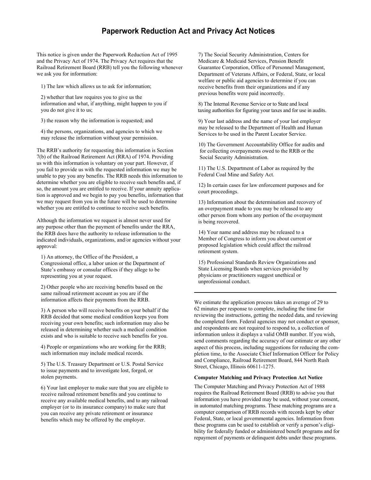#### **Paperwork Reduction Act and Privacy Act Notices**

This notice is given under the Paperwork Reduction Act of 1995 and the Privacy Act of 1974. The Privacy Act requires that the Railroad Retirement Board (RRB) tell you the following whenever we ask you for information:

1) The law which allows us to ask for information;

 2) whether that law requires you to give us the information and what, if anything, might happen to you if you do not give it to us;

3) the reason why the information is requested; and

 4) the persons, organizations, and agencies to which we may release the information without your permission.

The RRB's authority for requesting this information is Section 7(b) of the Railroad Retirement Act (RRA) of 1974. Providing us with this information is voluntary on your part. However, if you fail to provide us with the requested information we may be unable to pay you any benefits. The RRB needs this information to determine whether you are eligible to receive such benefits and, if so, the amount you are entitled to receive. If your annuity application is approved and we begin to pay you benefits, information that we may request from you in the future will be used to determine whether you are entitled to continue to receive such benefits.

Although the information we request is almost never used for any purpose other than the payment of benefits under the RRA, the RRB does have the authority to release information to the indicated individuals, organizations, and/or agencies without your approval:

 1) An attorney, the Office of the President, a Congressional office, a labor union or the Department of State's embassy or consular offices if they allege to be representing you at your request.

 2) Other people who are receiving benefits based on the same railroad retirement account as you are if the information affects their payments from the RRB.

 3) A person who will receive benefits on your behalf if the RRB decided that some medical condition keeps you from receiving your own benefits; such information may also be released in determining whether such a medical condition exists and who is suitable to receive such benefits for you.

 4) People or organizations who are working for the RRB; such information may include medical records.

 5) The U.S. Treasury Department or U.S. Postal Service to issue payments and to investigate lost, forged, or stolen payments.

 6) Your last employer to make sure that you are eligible to receive railroad retirement benefits and you continue to receive any available medical benefits, and to any railroad employer (or to its insurance company) to make sure that you can receive any private retirement or insurance benefits which may be offered by the employer.

7) The Social Security Administration, Centers for Medicare & Medicaid Services, Pension Benefit Guarantee Corporation, Office of Personnel Management, Department of Veterans Affairs, or Federal, State, or local welfare or public aid agencies to determine if you can receive benefits from their organizations and if any previous benefits were paid incorrectly.

8) The Internal Revenue Service or to State and local taxing authorities for figuring your taxes and for use in audits.

 9) Your last address and the name of your last employer may be released to the Department of Health and Human Services to be used in the Parent Locator Service.

 10) The Government Accountability Office for audits and for collecting overpayments owed to the RRB or the Social Security Administration.

 11) The U.S. Department of Labor as required by the Federal Coal Mine and Safety Act.

 12) In certain cases for law enforcement purposes and for court proceedings.

 13) Information about the determination and recovery of an overpayment made to you may be released to any other person from whom any portion of the overpayment is being recovered.

 14) Your name and address may be released to a Member of Congress to inform you about current or proposed legislation which could affect the railroad retirement system.

 15) Professional Standards Review Organizations and State Licensing Boards when services provided by physicians or practitioners suggest unethical or unprofessional conduct.

We estimate the application process takes an average of 29 to 62 minutes per response to complete, including the time for reviewing the instructions, getting the needed data, and reviewing the completed form. Federal agencies may not conduct or sponsor, and respondents are not required to respond to, a collection of information unless it displays a valid OMB number. If you wish, send comments regarding the accuracy of our estimate or any other aspect of this process, including suggestions for reducing the completion time, to the Associate Chief Information Officer for Policy and Compliance, Railroad Retirement Board, 844 North Rush Street, Chicago, Illinois 60611-1275.

#### **Computer Matching and Privacy Protection Act Notice**

The Computer Matching and Privacy Protection Act of 1988 requires the Railroad Retirement Board (RRB) to advise you that information you have provided may be used, without your consent, in automated matching programs. These matching programs are a computer comparison of RRB records with records kept by other Federal, State, or local governmental agencies. Information from these programs can be used to establish or verify a person's eligibility for federally funded or administered benefit programs and for repayment of payments or delinquent debts under these programs.